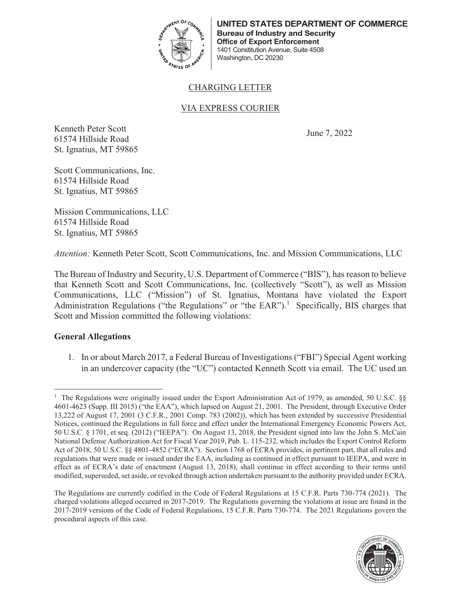

**UNITED STATES DEPARTMENT OF COMMERCE Bureau of Industry and Security Office of Export Enforcement**  1401 Constitution Avenue, Suite 4508 Washington, DC 20230

## CHARGING LETTER

# VIA EXPRESS COURIER

Kenneth Peter Scott 61574 Hillside Road St. Ignatius, MT 59865

June 7, 2022

Scott Communications, Inc. 61574 Hillside Road St. Ignatius, MT 59865

Mission Communications, LLC 61574 Hillside Road St. Ignatius, MT 59865

*Attention:* Kenneth Peter Scott, Scott Communications, Inc. and Mission Communications, LLC

The Bureau of Industry and Security, U.S. Department of Commerce ("BIS"), has reason to believe that Kenneth Scott and Scott Communications, Inc. (collectively "Scott"), as well as Mission Communications, LLC ("Mission") of St. Ignatius, Montana have violated the Export Administration Regulations ("the Regulations" or "the EAR").<sup>1</sup> Specifically, BIS charges that Scott and Mission committed the following violations:

#### **General Allegations**

1. In or about March 2017, a Federal Bureau of Investigations ("FBI") Special Agent working in an undercover capacity (the "UC") contacted Kenneth Scott via email. The UC used an

The Regulations are currently codified in the Code of Federal Regulations at 15 C.F.R. Parts 730-774 (2021). The charged violations alleged occurred in 2017-2019. The Regulations governing the violations at issue are found in the 2017-2019 versions of the Code of Federal Regulations, 15 C.F.R. Parts 730-774. The 2021 Regulations govern the procedural aspects of this case.



<sup>&</sup>lt;sup>1</sup> The Regulations were originally issued under the Export Administration Act of 1979, as amended, 50 U.S.C. §§ 4601-4623 (Supp. III 2015) ("the EAA"), which lapsed on August 21, 2001. The President, through Executive Order 13,222 of August 17, 2001 (3 C.F.R., 2001 Comp. 783 (2002)), which has been extended by successive Presidential Notices, continued the Regulations in full force and effect under the International Emergency Economic Powers Act, 50 U.S.C. § 1701, et seq. (2012) ("IEEPA"). On August 13, 2018, the President signed into law the John S. McCain National Defense Authorization Act for Fiscal Year 2019, Pub. L. 115-232, which includes the Export Control Reform Act of 2018, 50 U.S.C. §§ 4801-4852 ("ECRA"). Section 1768 of ECRA provides, in pertinent part, that all rules and regulations that were made or issued under the EAA, including as continued in effect pursuant to IEEPA, and were in effect as of ECRA's date of enactment (August 13, 2018), shall continue in effect according to their terms until modified, superseded, set aside, or revoked through action undertaken pursuant to the authority provided under ECRA.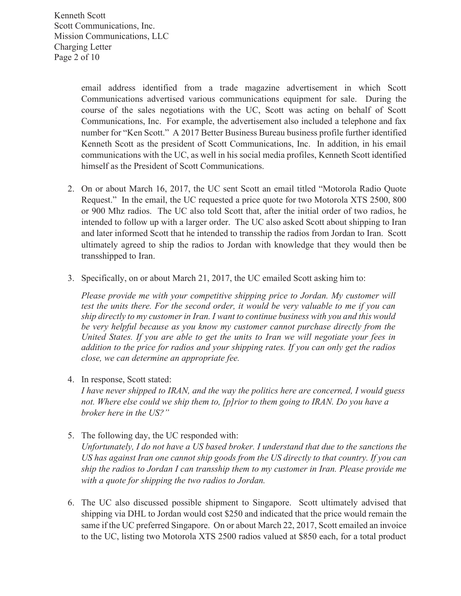email address identified from a trade magazine advertisement in which Scott Communications advertised various communications equipment for sale. During the course of the sales negotiations with the UC, Scott was acting on behalf of Scott Communications, Inc. For example, the advertisement also included a telephone and fax number for "Ken Scott." A 2017 Better Business Bureau business profile further identified Kenneth Scott as the president of Scott Communications, Inc. In addition, in his email communications with the UC, as well in his social media profiles, Kenneth Scott identified himself as the President of Scott Communications.

- 2. On or about March 16, 2017, the UC sent Scott an email titled "Motorola Radio Quote Request." In the email, the UC requested a price quote for two Motorola XTS 2500, 800 or 900 Mhz radios. The UC also told Scott that, after the initial order of two radios, he intended to follow up with a larger order. The UC also asked Scott about shipping to Iran and later informed Scott that he intended to transship the radios from Jordan to Iran. Scott ultimately agreed to ship the radios to Jordan with knowledge that they would then be transshipped to Iran.
- 3. Specifically, on or about March 21, 2017, the UC emailed Scott asking him to:

*Please provide me with your competitive shipping price to Jordan. My customer will test the units there. For the second order, it would be very valuable to me if you can ship directly to my customer in Iran. I want to continue business with you and this would be very helpful because as you know my customer cannot purchase directly from the United States. If you are able to get the units to Iran we will negotiate your fees in addition to the price for radios and your shipping rates. If you can only get the radios close, we can determine an appropriate fee.*

4. In response, Scott stated:

*I have never shipped to IRAN, and the way the politics here are concerned, I would guess*  not. Where else could we ship them to, [p]rior to them going to IRAN. Do you have a *broker here in the US?"*

5. The following day, the UC responded with:

*Unfortunately, I do not have a US based broker. I understand that due to the sanctions the US has against Iran one cannot ship goods from the US directly to that country. If you can ship the radios to Jordan I can transship them to my customer in Iran. Please provide me with a quote for shipping the two radios to Jordan.* 

6. The UC also discussed possible shipment to Singapore. Scott ultimately advised that shipping via DHL to Jordan would cost \$250 and indicated that the price would remain the same if the UC preferred Singapore. On or about March 22, 2017, Scott emailed an invoice to the UC, listing two Motorola XTS 2500 radios valued at \$850 each, for a total product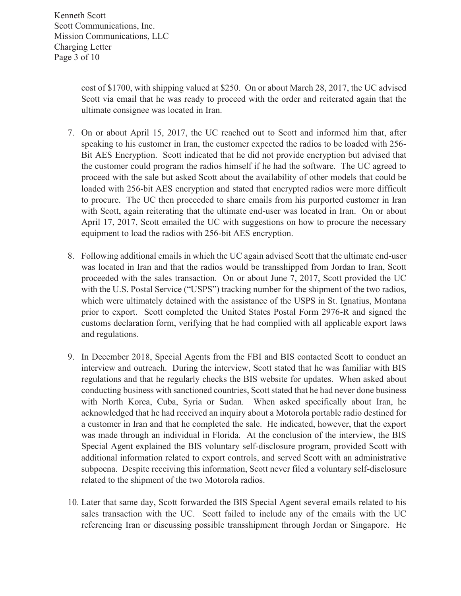cost of \$1700, with shipping valued at \$250. On or about March 28, 2017, the UC advised Scott via email that he was ready to proceed with the order and reiterated again that the ultimate consignee was located in Iran.

- 7. On or about April 15, 2017, the UC reached out to Scott and informed him that, after speaking to his customer in Iran, the customer expected the radios to be loaded with 256- Bit AES Encryption. Scott indicated that he did not provide encryption but advised that the customer could program the radios himself if he had the software. The UC agreed to proceed with the sale but asked Scott about the availability of other models that could be loaded with 256-bit AES encryption and stated that encrypted radios were more difficult to procure. The UC then proceeded to share emails from his purported customer in Iran with Scott, again reiterating that the ultimate end-user was located in Iran. On or about April 17, 2017, Scott emailed the UC with suggestions on how to procure the necessary equipment to load the radios with 256-bit AES encryption.
- 8. Following additional emails in which the UC again advised Scott that the ultimate end-user was located in Iran and that the radios would be transshipped from Jordan to Iran, Scott proceeded with the sales transaction. On or about June 7, 2017, Scott provided the UC with the U.S. Postal Service ("USPS") tracking number for the shipment of the two radios, which were ultimately detained with the assistance of the USPS in St. Ignatius, Montana prior to export. Scott completed the United States Postal Form 2976-R and signed the customs declaration form, verifying that he had complied with all applicable export laws and regulations.
- 9. In December 2018, Special Agents from the FBI and BIS contacted Scott to conduct an interview and outreach. During the interview, Scott stated that he was familiar with BIS regulations and that he regularly checks the BIS website for updates. When asked about conducting business with sanctioned countries, Scott stated that he had never done business with North Korea, Cuba, Syria or Sudan. When asked specifically about Iran, he acknowledged that he had received an inquiry about a Motorola portable radio destined for a customer in Iran and that he completed the sale. He indicated, however, that the export was made through an individual in Florida. At the conclusion of the interview, the BIS Special Agent explained the BIS voluntary self-disclosure program, provided Scott with additional information related to export controls, and served Scott with an administrative subpoena. Despite receiving this information, Scott never filed a voluntary self-disclosure related to the shipment of the two Motorola radios.
- 10. Later that same day, Scott forwarded the BIS Special Agent several emails related to his sales transaction with the UC. Scott failed to include any of the emails with the UC referencing Iran or discussing possible transshipment through Jordan or Singapore. He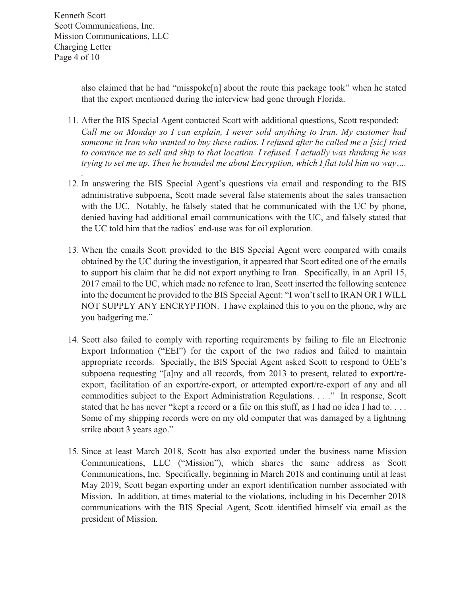*.* 

also claimed that he had "misspoke[n] about the route this package took" when he stated that the export mentioned during the interview had gone through Florida.

- 11. After the BIS Special Agent contacted Scott with additional questions, Scott responded: *Call me on Monday so I can explain, I never sold anything to Iran. My customer had someone in Iran who wanted to buy these radios. I refused after he called me a [sic] tried to convince me to sell and ship to that location. I refused. I actually was thinking he was trying to set me up. Then he hounded me about Encryption, which I flat told him no way….*
- 12. In answering the BIS Special Agent's questions via email and responding to the BIS administrative subpoena, Scott made several false statements about the sales transaction with the UC. Notably, he falsely stated that he communicated with the UC by phone, denied having had additional email communications with the UC, and falsely stated that the UC told him that the radios' end-use was for oil exploration.
- 13. When the emails Scott provided to the BIS Special Agent were compared with emails obtained by the UC during the investigation, it appeared that Scott edited one of the emails to support his claim that he did not export anything to Iran. Specifically, in an April 15, 2017 email to the UC, which made no refence to Iran, Scott inserted the following sentence into the document he provided to the BIS Special Agent: "I won't sell to IRAN OR I WILL NOT SUPPLY ANY ENCRYPTION. I have explained this to you on the phone, why are you badgering me."
- 14. Scott also failed to comply with reporting requirements by failing to file an Electronic Export Information ("EEI") for the export of the two radios and failed to maintain appropriate records. Specially, the BIS Special Agent asked Scott to respond to OEE's subpoena requesting "[a]ny and all records, from 2013 to present, related to export/reexport, facilitation of an export/re-export, or attempted export/re-export of any and all commodities subject to the Export Administration Regulations. . . ." In response, Scott stated that he has never "kept a record or a file on this stuff, as I had no idea I had to. . . . Some of my shipping records were on my old computer that was damaged by a lightning strike about 3 years ago."
- 15. Since at least March 2018, Scott has also exported under the business name Mission Communications, LLC ("Mission"), which shares the same address as Scott Communications, Inc. Specifically, beginning in March 2018 and continuing until at least May 2019, Scott began exporting under an export identification number associated with Mission. In addition, at times material to the violations, including in his December 2018 communications with the BIS Special Agent, Scott identified himself via email as the president of Mission.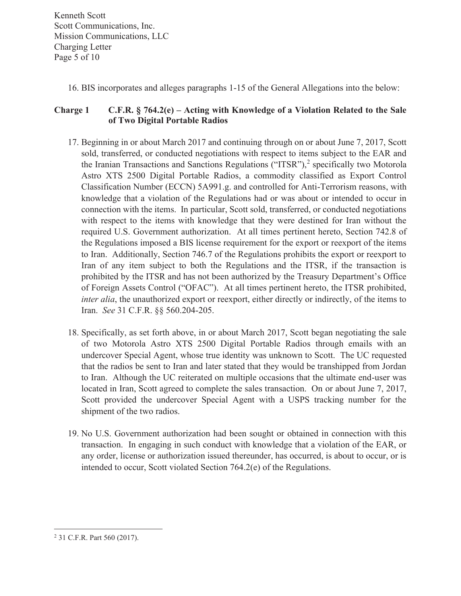Kenneth Scott Scott Communications, Inc. Mission Communications, LLC Charging Letter Page 5 of 10

16. BIS incorporates and alleges paragraphs 1-15 of the General Allegations into the below:

### **Charge 1 C.F.R. § 764.2(e) – Acting with Knowledge of a Violation Related to the Sale of Two Digital Portable Radios**

- 17. Beginning in or about March 2017 and continuing through on or about June 7, 2017, Scott sold, transferred, or conducted negotiations with respect to items subject to the EAR and the Iranian Transactions and Sanctions Regulations ("ITSR"),<sup>2</sup> specifically two Motorola Astro XTS 2500 Digital Portable Radios, a commodity classified as Export Control Classification Number (ECCN) 5A991.g. and controlled for Anti-Terrorism reasons, with knowledge that a violation of the Regulations had or was about or intended to occur in connection with the items. In particular, Scott sold, transferred, or conducted negotiations with respect to the items with knowledge that they were destined for Iran without the required U.S. Government authorization. At all times pertinent hereto, Section 742.8 of the Regulations imposed a BIS license requirement for the export or reexport of the items to Iran. Additionally, Section 746.7 of the Regulations prohibits the export or reexport to Iran of any item subject to both the Regulations and the ITSR, if the transaction is prohibited by the ITSR and has not been authorized by the Treasury Department's Office of Foreign Assets Control ("OFAC"). At all times pertinent hereto, the ITSR prohibited, *inter alia*, the unauthorized export or reexport, either directly or indirectly, of the items to Iran. *See* 31 C.F.R. §§ 560.204-205.
- 18. Specifically, as set forth above, in or about March 2017, Scott began negotiating the sale of two Motorola Astro XTS 2500 Digital Portable Radios through emails with an undercover Special Agent, whose true identity was unknown to Scott. The UC requested that the radios be sent to Iran and later stated that they would be transhipped from Jordan to Iran. Although the UC reiterated on multiple occasions that the ultimate end-user was located in Iran, Scott agreed to complete the sales transaction. On or about June 7, 2017, Scott provided the undercover Special Agent with a USPS tracking number for the shipment of the two radios.
- 19. No U.S. Government authorization had been sought or obtained in connection with this transaction. In engaging in such conduct with knowledge that a violation of the EAR, or any order, license or authorization issued thereunder, has occurred, is about to occur, or is intended to occur, Scott violated Section 764.2(e) of the Regulations.

<sup>2</sup> 31 C.F.R. Part 560 (2017).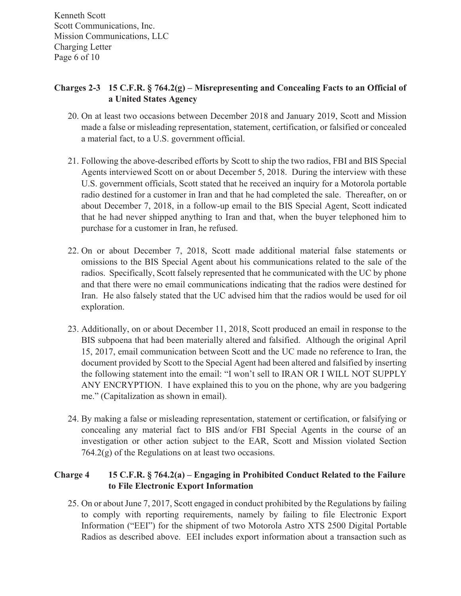Kenneth Scott Scott Communications, Inc. Mission Communications, LLC Charging Letter Page 6 of 10

## **Charges 2-3 15 C.F.R. § 764.2(g) – Misrepresenting and Concealing Facts to an Official of a United States Agency**

- 20. On at least two occasions between December 2018 and January 2019, Scott and Mission made a false or misleading representation, statement, certification, or falsified or concealed a material fact, to a U.S. government official.
- 21. Following the above-described efforts by Scott to ship the two radios, FBI and BIS Special Agents interviewed Scott on or about December 5, 2018. During the interview with these U.S. government officials, Scott stated that he received an inquiry for a Motorola portable radio destined for a customer in Iran and that he had completed the sale. Thereafter, on or about December 7, 2018, in a follow-up email to the BIS Special Agent, Scott indicated that he had never shipped anything to Iran and that, when the buyer telephoned him to purchase for a customer in Iran, he refused.
- 22. On or about December 7, 2018, Scott made additional material false statements or omissions to the BIS Special Agent about his communications related to the sale of the radios. Specifically, Scott falsely represented that he communicated with the UC by phone and that there were no email communications indicating that the radios were destined for Iran. He also falsely stated that the UC advised him that the radios would be used for oil exploration.
- 23. Additionally, on or about December 11, 2018, Scott produced an email in response to the BIS subpoena that had been materially altered and falsified. Although the original April 15, 2017, email communication between Scott and the UC made no reference to Iran, the document provided by Scott to the Special Agent had been altered and falsified by inserting the following statement into the email: "I won't sell to IRAN OR I WILL NOT SUPPLY ANY ENCRYPTION. I have explained this to you on the phone, why are you badgering me." (Capitalization as shown in email).
- 24. By making a false or misleading representation, statement or certification, or falsifying or concealing any material fact to BIS and/or FBI Special Agents in the course of an investigation or other action subject to the EAR, Scott and Mission violated Section  $764.2(g)$  of the Regulations on at least two occasions.

### **Charge 4 15 C.F.R. § 764.2(a) – Engaging in Prohibited Conduct Related to the Failure to File Electronic Export Information**

25. On or about June 7, 2017, Scott engaged in conduct prohibited by the Regulations by failing to comply with reporting requirements, namely by failing to file Electronic Export Information ("EEI") for the shipment of two Motorola Astro XTS 2500 Digital Portable Radios as described above. EEI includes export information about a transaction such as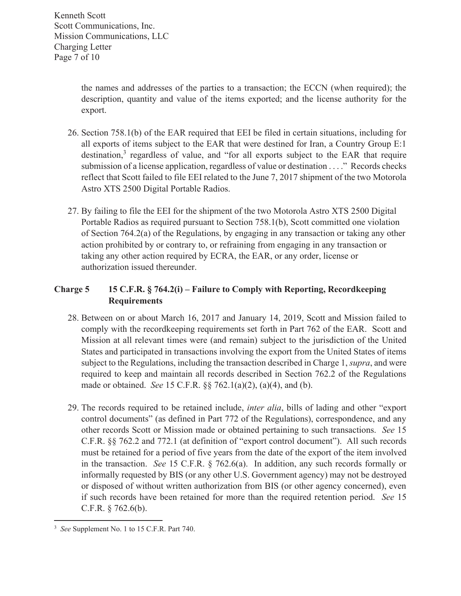the names and addresses of the parties to a transaction; the ECCN (when required); the description, quantity and value of the items exported; and the license authority for the export.

- 26. Section 758.1(b) of the EAR required that EEI be filed in certain situations, including for all exports of items subject to the EAR that were destined for Iran, a Country Group E:1 destination, $3$  regardless of value, and "for all exports subject to the EAR that require submission of a license application, regardless of value or destination . . . ." Records checks reflect that Scott failed to file EEI related to the June 7, 2017 shipment of the two Motorola Astro XTS 2500 Digital Portable Radios.
- 27. By failing to file the EEI for the shipment of the two Motorola Astro XTS 2500 Digital Portable Radios as required pursuant to Section 758.1(b), Scott committed one violation of Section 764.2(a) of the Regulations, by engaging in any transaction or taking any other action prohibited by or contrary to, or refraining from engaging in any transaction or taking any other action required by ECRA, the EAR, or any order, license or authorization issued thereunder.

## **Charge 5 15 C.F.R. § 764.2(i) – Failure to Comply with Reporting, Recordkeeping Requirements**

- 28. Between on or about March 16, 2017 and January 14, 2019, Scott and Mission failed to comply with the recordkeeping requirements set forth in Part 762 of the EAR. Scott and Mission at all relevant times were (and remain) subject to the jurisdiction of the United States and participated in transactions involving the export from the United States of items subject to the Regulations, including the transaction described in Charge 1, *supra*, and were required to keep and maintain all records described in Section 762.2 of the Regulations made or obtained. *See* 15 C.F.R. §§ 762.1(a)(2), (a)(4), and (b).
- 29. The records required to be retained include, *inter alia*, bills of lading and other "export control documents" (as defined in Part 772 of the Regulations), correspondence, and any other records Scott or Mission made or obtained pertaining to such transactions. *See* 15 C.F.R. §§ 762.2 and 772.1 (at definition of "export control document"). All such records must be retained for a period of five years from the date of the export of the item involved in the transaction. *See* 15 C.F.R. § 762.6(a). In addition, any such records formally or informally requested by BIS (or any other U.S. Government agency) may not be destroyed or disposed of without written authorization from BIS (or other agency concerned), even if such records have been retained for more than the required retention period. *See* 15 C.F.R. § 762.6(b).

<sup>&</sup>lt;sup>3</sup> See Supplement No. 1 to 15 C.F.R. Part 740.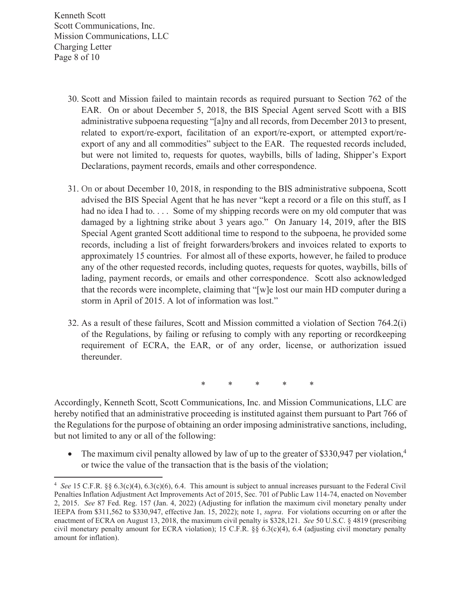Kenneth Scott Scott Communications, Inc. Mission Communications, LLC Charging Letter Page 8 of 10

- 30. Scott and Mission failed to maintain records as required pursuant to Section 762 of the EAR. On or about December 5, 2018, the BIS Special Agent served Scott with a BIS administrative subpoena requesting "[a]ny and all records, from December 2013 to present, related to export/re-export, facilitation of an export/re-export, or attempted export/reexport of any and all commodities" subject to the EAR. The requested records included, but were not limited to, requests for quotes, waybills, bills of lading, Shipper's Export Declarations, payment records, emails and other correspondence.
- 31. On or about December 10, 2018, in responding to the BIS administrative subpoena, Scott advised the BIS Special Agent that he has never "kept a record or a file on this stuff, as I had no idea I had to. . . . Some of my shipping records were on my old computer that was damaged by a lightning strike about 3 years ago." On January 14, 2019, after the BIS Special Agent granted Scott additional time to respond to the subpoena, he provided some records, including a list of freight forwarders/brokers and invoices related to exports to approximately 15 countries. For almost all of these exports, however, he failed to produce any of the other requested records, including quotes, requests for quotes, waybills, bills of lading, payment records, or emails and other correspondence. Scott also acknowledged that the records were incomplete, claiming that "[w]e lost our main HD computer during a storm in April of 2015. A lot of information was lost."
- 32. As a result of these failures, Scott and Mission committed a violation of Section 764.2(i) of the Regulations, by failing or refusing to comply with any reporting or recordkeeping requirement of ECRA, the EAR, or of any order, license, or authorization issued thereunder.

\* \* \* \* \*

Accordingly, Kenneth Scott, Scott Communications, Inc. and Mission Communications, LLC are hereby notified that an administrative proceeding is instituted against them pursuant to Part 766 of the Regulations for the purpose of obtaining an order imposing administrative sanctions, including, but not limited to any or all of the following:

• The maximum civil penalty allowed by law of up to the greater of \$330,947 per violation,<sup>4</sup> or twice the value of the transaction that is the basis of the violation;

<sup>4</sup> *See* 15 C.F.R. §§ 6.3(c)(4), 6.3(c)(6), 6.4. This amount is subject to annual increases pursuant to the Federal Civil Penalties Inflation Adjustment Act Improvements Act of 2015, Sec. 701 of Public Law 114-74, enacted on November 2, 2015. *See* 87 Fed. Reg. 157 (Jan. 4, 2022) (Adjusting for inflation the maximum civil monetary penalty under IEEPA from \$311,562 to \$330,947, effective Jan. 15, 2022); note 1, *supra*. For violations occurring on or after the enactment of ECRA on August 13, 2018, the maximum civil penalty is \$328,121. *See* 50 U.S.C. § 4819 (prescribing civil monetary penalty amount for ECRA violation); 15 C.F.R. §§ 6.3(c)(4), 6.4 (adjusting civil monetary penalty amount for inflation).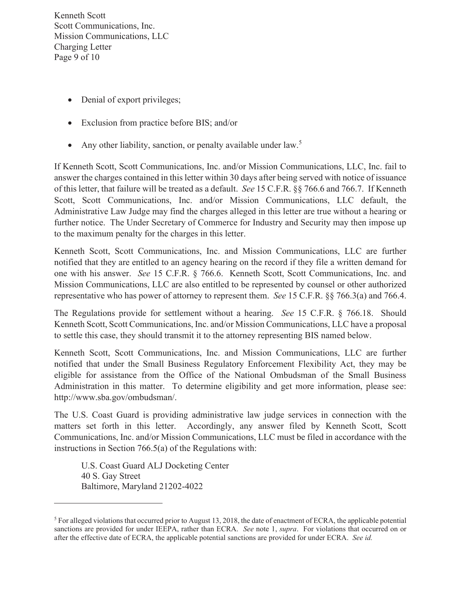Kenneth Scott Scott Communications, Inc. Mission Communications, LLC Charging Letter Page 9 of 10

- Denial of export privileges;
- Exclusion from practice before BIS; and/or
- Any other liability, sanction, or penalty available under law.<sup>5</sup>

If Kenneth Scott, Scott Communications, Inc. and/or Mission Communications, LLC, Inc. fail to answer the charges contained in this letter within 30 days after being served with notice of issuance of this letter, that failure will be treated as a default. *See* 15 C.F.R. §§ 766.6 and 766.7. If Kenneth Scott, Scott Communications, Inc. and/or Mission Communications, LLC default, the Administrative Law Judge may find the charges alleged in this letter are true without a hearing or further notice. The Under Secretary of Commerce for Industry and Security may then impose up to the maximum penalty for the charges in this letter.

Kenneth Scott, Scott Communications, Inc. and Mission Communications, LLC are further notified that they are entitled to an agency hearing on the record if they file a written demand for one with his answer. *See* 15 C.F.R. § 766.6. Kenneth Scott, Scott Communications, Inc. and Mission Communications, LLC are also entitled to be represented by counsel or other authorized representative who has power of attorney to represent them. *See* 15 C.F.R. §§ 766.3(a) and 766.4.

The Regulations provide for settlement without a hearing. *See* 15 C.F.R. § 766.18. Should Kenneth Scott, Scott Communications, Inc. and/or Mission Communications, LLC have a proposal to settle this case, they should transmit it to the attorney representing BIS named below.

Kenneth Scott, Scott Communications, Inc. and Mission Communications, LLC are further notified that under the Small Business Regulatory Enforcement Flexibility Act, they may be eligible for assistance from the Office of the National Ombudsman of the Small Business Administration in this matter. To determine eligibility and get more information, please see: http://www.sba.gov/ombudsman/.

The U.S. Coast Guard is providing administrative law judge services in connection with the matters set forth in this letter. Accordingly, any answer filed by Kenneth Scott, Scott Communications, Inc. and/or Mission Communications, LLC must be filed in accordance with the instructions in Section 766.5(a) of the Regulations with:

U.S. Coast Guard ALJ Docketing Center 40 S. Gay Street Baltimore, Maryland 21202-4022

 $5$  For alleged violations that occurred prior to August 13, 2018, the date of enactment of ECRA, the applicable potential sanctions are provided for under IEEPA, rather than ECRA. *See* note 1, *supra*. For violations that occurred on or after the effective date of ECRA, the applicable potential sanctions are provided for under ECRA. *See id.*